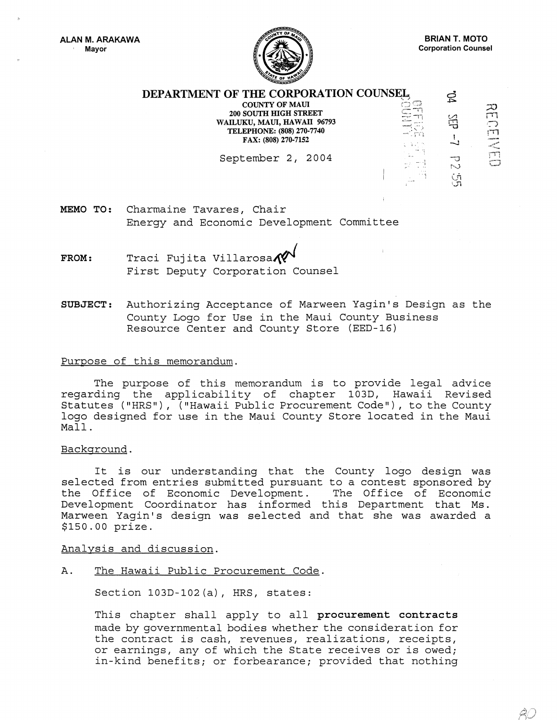

ŔÛ

| ----                                                                                                                                     |                                  |          |         |
|------------------------------------------------------------------------------------------------------------------------------------------|----------------------------------|----------|---------|
| DEPARTMENT OF THE CORPORATION COUNSEL                                                                                                    |                                  |          |         |
| <b>COUNTY OF MAUI</b><br><b>200 SOUTH HIGH STREET</b><br>WAILUKU, MAUI, HAWAII 96793<br>TELEPHONE: (808) 270-7740<br>FAX: (808) 270-7152 | ाः<br>سىرۇند<br>الإدمام<br>i san |          | 20<br>m |
| September 2, 2004                                                                                                                        | $\cdots$ $\cdots$<br>10.157      | N<br>. ಇ |         |

MEMO TO: Charmaine Tavares, Chair Energy and Economic Development Committee

- $FROM:$  Traci Fujita Villarosa $\mathcal{N}$ <br>First Deputy Corporation Counsel
- SUBJECT: Authorizing Acceptance of Marween Yagin's Design as the County Logo for Use in the Maui County Business Resource Center and County Store (EED-16)

## Purpose of this memorandum.

The purpose of this memorandum is to provide legal advice regarding the applicability of chapter 103D, Hawaii Revised Statutes ("HRS"), ("Hawaii Public Procurement Code"), to the County logo designed for use in the Maui County Store located in the Maui Mall.

## Background.

It is our understanding that the County logo design was selected from entries submitted pursuant to a contest sponsored by the Office of Economic Development. The Office of Economic Development Coordinator has informed this Department that Ms. Marween Yagin's design was selected and that she was awarded a \$150.00 prize.

Analysis and discussion.

A. The Hawaii Public Procurement Code.

Section 103D-102(a), HRS, states:

This chapter shall apply to all procurement contracts made by governmental bodies whether the consideration for the contract is cash, revenues, realizations, receipts, or earnings, any of which the State receives or is owed; in-kind benefits; or forbearance; provided that nothing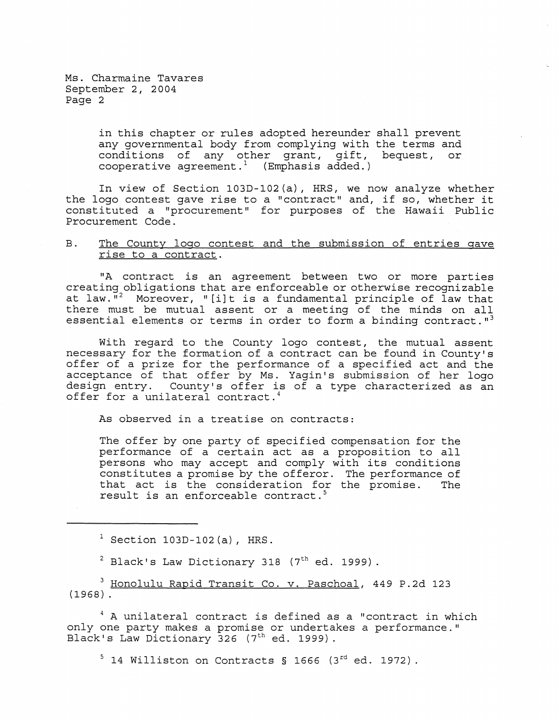> in this chapter or rules adopted hereunder shall prevent any governmental body from complying with the terms and conditions of any other grant, gift, bequest, or cooperative agreement.<sup>1</sup> (Emphasis added.)

In view of Section 103D-I02(a), HRS, we now analyze whether the logo contest gave rise to a "contract" and, if so, whether it constituted a "procurement" for purposes of the Hawaii Public Procurement Code.

## B. The County logo contest and the submission of entries gave rise to a contract.

"A contract is an agreement between two or more parties creating obligations that are enforceable or otherwise recognizable at law. $\overline{N}^2$  Moreover, "[i]t is a fundamental principle of law that there must be mutual assent or a meeting of the minds on all essential elements or terms in order to form a binding contract.  $13$ 

With regard to the County logo contest, the mutual assent necessary for the formation of a contract can be found in County's offer of a prize for the performance of a specified act and the acceptance of that offer by Ms. Yagin's submission of her logo design entry. County's offer is of a type characterized as an offer for a unilateral contract.<sup>4</sup>

As observed in a treatise on contracts:

The offer by one party of specified compensation for the performance of a certain act as a proposition to all persons who may accept and comply with its conditions constitutes a promise by the offeror. The performance of that act is the consideration for the promise. The that act is the consideration for the promise. result is an enforceable contract.<sup>5</sup>

 $1$  Section 103D-102(a), HRS.

 $2$  Black's Law Dictionary 318 (7<sup>th</sup> ed. 1999).

<sup>3</sup> Honolulu Rapid Transit Co. v. Paschoal, 449 P.2d 123  $(1968)$ .

 $^4$  A unilateral contract is defined as a "contract in which only one party makes a promise or undertakes a performance." Black's Law Dictionary  $326$  (7<sup>th</sup> ed. 1999).

 $5$  14 Williston on Contracts § 1666 (3<sup>rd</sup> ed. 1972).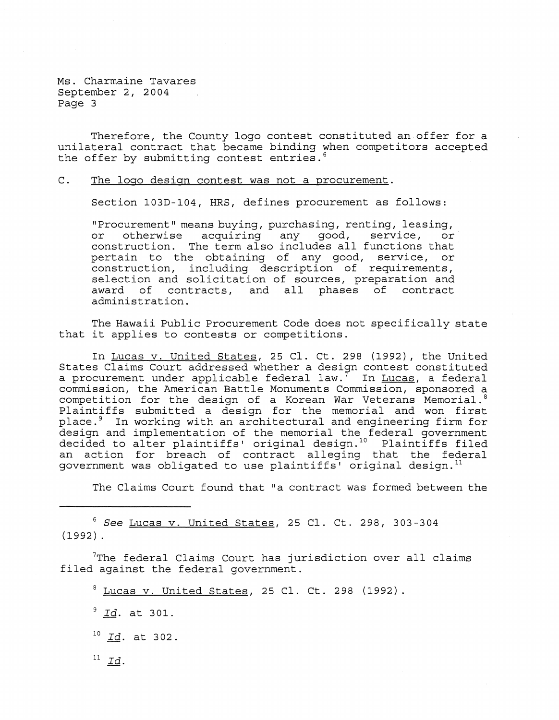Therefore, the County logo contest constituted an offer for a unilateral contract that became binding when competitors accepted the offer by submitting contest entries.<sup>6</sup>

C. The logo design contest was not a procurement.

Section 103D-104, HRS, defines procurement as follows:

"Procurement" means buying, purchasing, renting, leasing, or otherwise acquiring any good, service, or construction. The term also includes all functions that pertain to the obtaining of any good, service, or construction, including description of requirements, selection and solicitation of sources, preparation and award of contracts, and all phases of contract administration.

The Hawaii Public Procurement Code does not specifically state that it applies to contests or competitions.

In Lucas v. United States, 25 Cl. Ct. 298 (1992), the United States Claims Court addressed whether a design contest constituted a procurement under applicable federal law.<sup>7</sup> In Lucas, a federal commission, the American Battle Monuments Commission, sponsored a competition for the design of a Korean War Veterans Memorial. <sup>8</sup> Plaintiffs submitted a design for the memorial and won first place.<sup>9</sup> In working with an architectural and engineering firm for design and implementation of the memorial the federal government decided to alter plaintiffs' original design.<sup>10</sup> Plaintiffs filed an action for breach of contract alleging that the federal government was obligated to use plaintiffs' original design. <sup>11</sup>

The Claims Court found that "a contract was formed between the

<sup>6</sup>*See* Lucas v. United States, 25 Cl. Ct. 298, 303-304 (1992) .

7The federal Claims Court has jurisdiction over all claims filed against the federal government.

 $8$  Lucas v. United States, 25 Cl. Ct. 298 (1992).

<sup>9</sup>*Id.* at 301.

 $^{10}$  *Id.* at 302.

 $^{11}$  Id.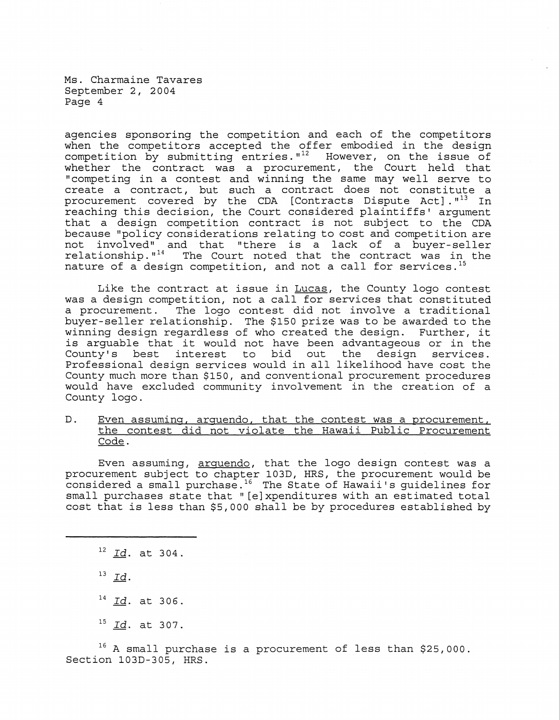agencies sponsoring the competition and each of the competitors when the competitors accepted the offer embodied in the design competition by submitting entries. $1^{12}$  However, on the issue of whether the contract was a procurement, the Court held that "competing in a contest and winning the same may well serve to create a contract, but such a contract does not constitute a procurement covered by the CDA [Contracts Dispute Act]. $1^{13}$  In reaching this decision, the Court considered plaintiffs' argument that a design competition contract is not subject to the CDA because "policy considerations relating to cost and competition are not involved", and that "there is a lack of a buyer-seller relationship."<sup>14</sup> The Court noted that the contract was in the nature of a design competition, and not a call for services.<sup>15</sup>

Like the contract at issue in Lucas, the County logo contest was a design competition, not a call for services that constituted a procurement. The logo contest did not involve a traditional buyer-seller relationship. The \$150 prize was to be awarded to the winning design regardless of who created the design. Further, it is arguable that it would not have been advantageous or in the<br>County's best interest to bid out the design services. County's best interest to bid out Professional design services would in all likelihood have cost the County much more than \$150, and conventional procurement procedures would have excluded community involvement in the creation of a County logo.

D. Even assuminq, arguendo, that the contest was a procurement, the contest did not violate the Hawaii Public Procurement Code.

Even assuming, arguendo, that the logo design contest was a procurement subject to chapter 103D, HRS, the procurement would be considered a small purchase.<sup>16</sup> The State of Hawaii's guidelines for small purchases state that "[e]xpenditures with an estimated total cost that is less than \$5,000 shall be by procedures established by

<sup>12</sup>*Id.* at 304.

<sup>13</sup>*Id.* 

<sup>14</sup>*Id.* at 306.

<sup>15</sup>*Id.* at 307.

 $16$  A small purchase is a procurement of less than \$25,000. Section 103D-305, HRS.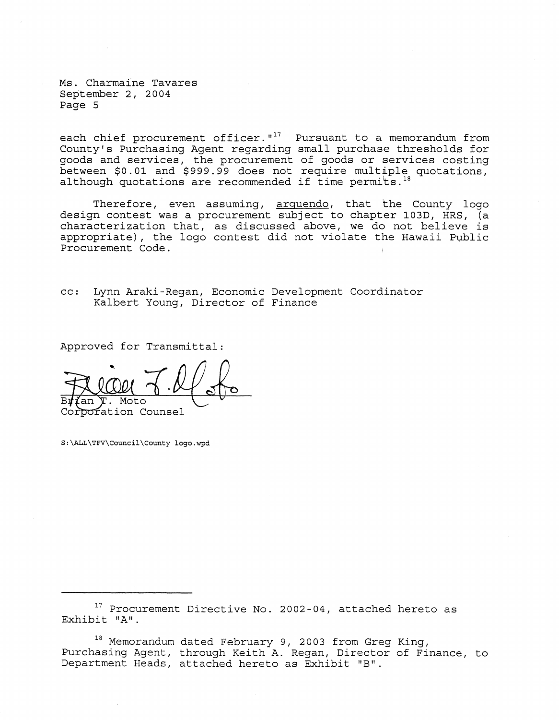each chief procurement officer. $1^{17}$  Pursuant to a memorandum from County's Purchasing Agent regarding small purchase thresholds for goods and services, the procurement of goods or services costing between \$0.01 and \$999.99 does not require multiple quotations, although quotations are recommended if time permits.<sup>18</sup>

Therefore, even assuming, arquendo, that the County logo design contest was a procurement subject to chapter 103D, HRS, (a characterization that, as discussed above, we do not believe is appropriate), the logo contest did not violate the Hawaii Public Procurement Code.

cc: Lynn Araki-Regan, Economic Development Coordinator Kalbert Young, Director of Finance

Approved for Transmittal:

Moto poration Counsel

S:\ALL\TFV\Council\County logo.wpd

<sup>17</sup> Procurement Directive No. 2002-04, attached hereto as Exhibit "A".

18 Memorandum dated February 9, 2003 from Greg King, Purchasing Agent, through Keith A. Regan, Director of Finance, to Department Heads, attached hereto as Exhibit "B".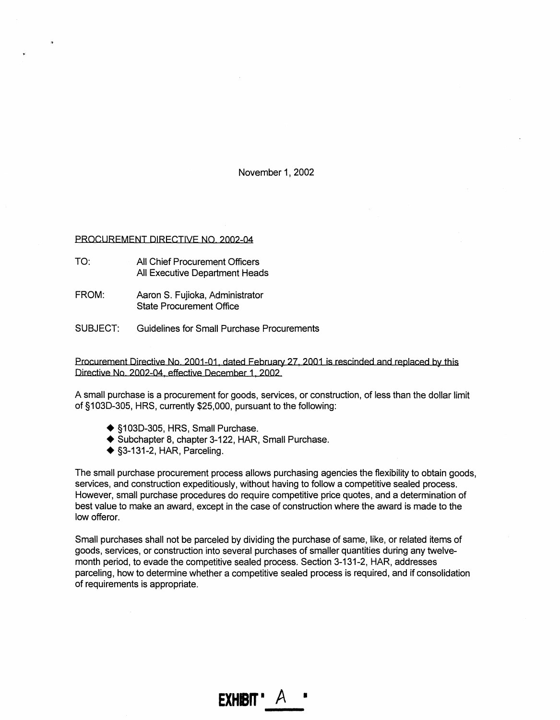November 1, 2002

## PROCUREMENT DIRECTIVE NO. 2002-04

<.

- $TO<sup>+</sup>$ All Chief Procurement Officers All Executive Department Heads
- FROM: Aaron S. Fujioka, Administrator State Procurement Office
- SUBJECT: Guidelines for Small Purchase Procurements

Procurement Directive No. 2001-01, dated February 27, 2001 is rescinded and replaced by this Directive No 2002-04, effective December 1, 2002

A small purchase is a procurement for goods, services, or construction, of less than the dollar limit of §103D-305, HRS, currently \$25,000, pursuant to the following:

- ◆ §103D-305, HRS, Small Purchase.
- Subchapter 8, chapter 3-122, HAR, Small Purchase.
- $\triangle$  §3-131-2, HAR, Parceling.

The small purchase procurement process allows purchasing agencies the flexibility to obtain goods, services, and construction expeditiously, without having to follow a competitive sealed process. However, small purchase procedures do require competitive price quotes, and a determination of best value to make an award, except in the case of construction where the award is made to the low offeror.

Small purchases shall not be parceled by dividing the purchase of same, like, or related items of goods, services, or construction into several purchases of smaller quantities during any twelvemonth period, to evade the competitive sealed process. Section 3-131-2, HAR, addresses parceling, how to determine whether a competitive sealed process is required, and if consolidation of requirements is appropriate.

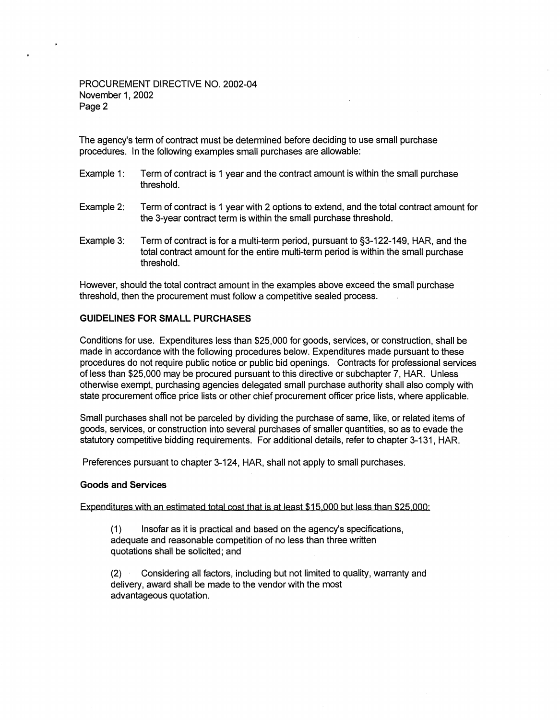# PROCUREMENT DIRECTIVE NO. 2002-04 November 1, 2002 Page 2

The agency's term of contract must be determined before deciding to use small purchase procedures. In the following examples small purchases are allowable:

- Example 1: Term of contract is 1 year and the contract amount is within the small purchase threshold.
- Example 2: Term of contract is 1 year with 2 options to extend, and the total contract amount for the 3-year contract term is within the small purchase threshold.
- Example 3: Term of contract is for a multi-term period, pursuant to §3-122-149, HAR, and the total contract amount for the entire multi-term period is within the small purchase threshold.

However, should the total contract amount in the examples above exceed the small purchase threshold, then the procurement must follow a competitive sealed process.

# GUIDELINES FOR SMALL PURCHASES

Conditions for use. Expenditures less than \$25,000 for goods, services, or construction, shall be made in accordance with the following procedures below. Expenditures made pursuant to these procedures do not require public notice or public bid openings. Contracts for professional services of less than \$25,000 may be procured pursuant to this directive or subchapter 7, HAR. Unless otherwise exempt, purchasing agencies delegated small purchase authority shall also comply with state procurement office price lists or other chief procurement officer price lists, where applicable.

Small purchases shall not be parceled by dividing the purchase of same, like, or related items of goods, services, or construction into several purchases of smaller quantities, so as to evade the statutory competitive bidding requirements. For additional details, refer to chapter 3-131, HAR.

Preferences pursuant to chapter 3-124, HAR, shall not apply to small purchases.

## Goods and Services

Expenditures with an estimated total cost that is at least \$15,000 but less than \$25,000:

(1) Insofar as it is practical and based on the agency's specifications, adequate and reasonable competition of no less than three written quotations shall be solicited; and

(2) Considering all factors, including but not limited to quality, warranty and delivery, award shall be made to the vendor with the most advantageous quotation.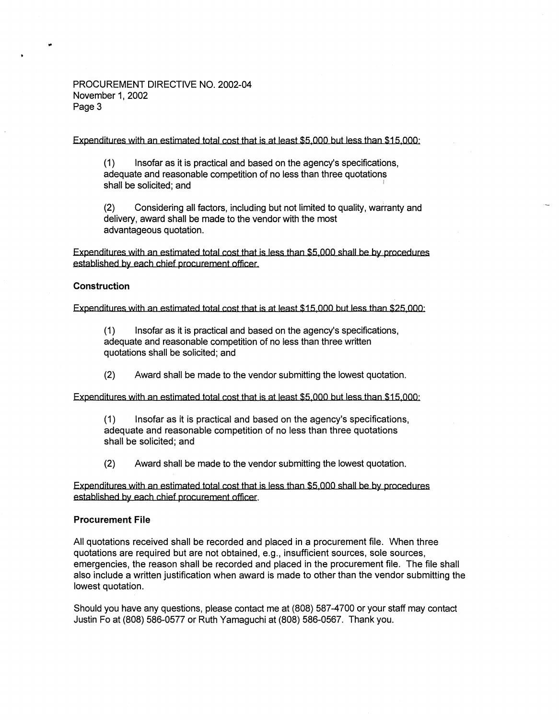# PROCUREMENT DIRECTIVE NO. 2002-04 November 1, 2002 Page 3

Expenditures with an estimated total cost that is at least \$5,000 but less than \$15,000'

(1) Insofar as it is practical and based on the agency's specifications, adequate and reasonable competition of no less than three quotations shall be solicited; and

(2) Considering all factors, including but not limited to quality, warranty and delivery, award shall be made to the vendor with the most advantageous quotation.

Expenditures with an estimated total cost that is less than \$5,000 shall be by procedures established by each chief procurement officer

## **Construction**

..

Expenditures with an estimated total cost that is at least \$15,000 but less than \$25,000'

(1) Insofar as it is practical and based on the agency's specifications, adequate and reasonable competition of no less than three written quotations shall be solicited; and

(2) Award shall be made to the vendor submitting the lowest quotation.

Expenditures with an estimated total cost that is at least \$5,000 but less than \$15,000'

Insofar as it is practical and based on the agency's specifications, adequate and reasonable competition of no less than three quotations shall be solicited; and

(2) Award shall be made to the vendor submitting the lowest quotation.

Expenditures with an estimated total cost that is less than \$5,000 shall be by procedures established by each chief procurement officer.

## **Procurement File**

All quotations received shall be recorded and placed in a procurement file. When three quotations are required but are not obtained, e.g., insufficient sources, sole sources, emergencies, the reason shall be recorded and placed in the procurement file. The file shall also include a written justification when award is made to other than the vendor submitting the lowest quotation.

Should you have any questions, please contact me at (808) 587-4700 or your staff may contact Justin Fo at (808) 586-0577 or Ruth Yamaguchi at (808) 586-0567. Thank you.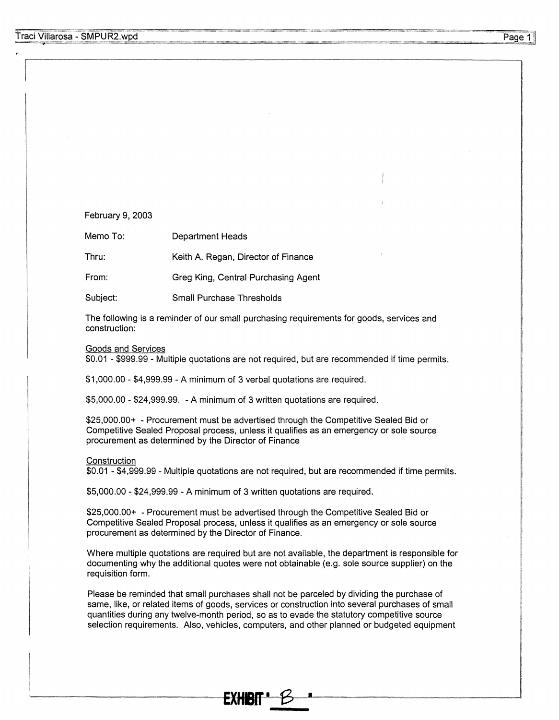## February 9, 2003

Memo To: Department Heads

Thru: Keith A. Regan, Director of Finance

From: Greg King, Central Purchasing Agent

Subject: Small Purchase Thresholds

The following is a reminder of our small purchasing requirements for goods, services and construction:

#### Goods and Services

\$0.01 - \$999.99 - Multiple quotations are not required, but are recommended if time permits.

\$1,000.00 - \$4,999.99 - A minimum of 3 verbal quotations are required.

\$5,000.00 - \$24,999.99. - A minimum of 3 written quotations are required.

\$25,000.00+ - Procurement must be advertised through the Competitive Sealed Bid or Competitive Sealed Proposal process, unless it qualifies as an emergency or sole source procurement as determined by the Director of Finance

#### **Construction**

\$0.01 - \$4,999.99 - Multiple quotations are not required, but are recommended if time permits.

\$5,000.00 - \$24,999.99 - A minimum of 3 written quotations are required.

\$25,000.00+ - Procurement must be advertised through the Competitive Sealed Bid or Competitive Sealed Proposal process, unless it qualifies as an emergency or sole source procurement as determined by the Director of Finance.

Where multiple quotations are required but are not available, the department is responsible for documenting why the additional quotes were not obtainable (e.g. sole source supplier) on the requisition form.

Please be reminded that small purchases shall not be parceled by dividing the purchase of same, like, or related items of goods, services or construction into several purchases of small quantities during any twelve-month period, so as to evade the statutory competitive source selection requirements. Also, vehicles, computers, and other planned or budgeted equipment

**EXHBf'** .... £S .........•